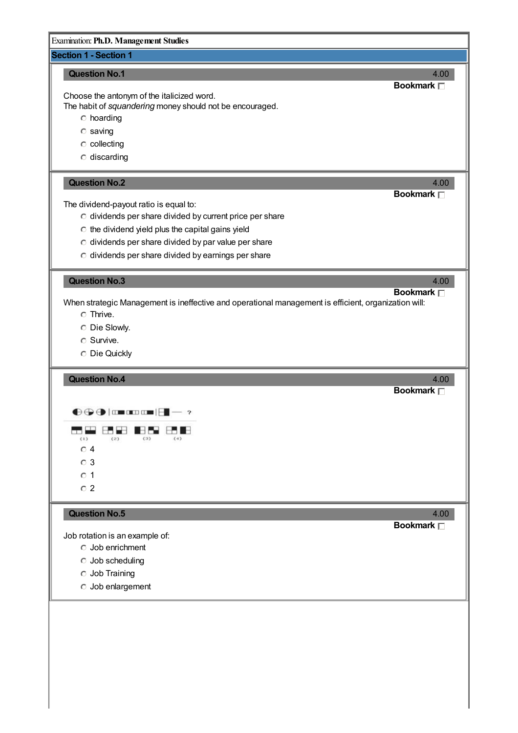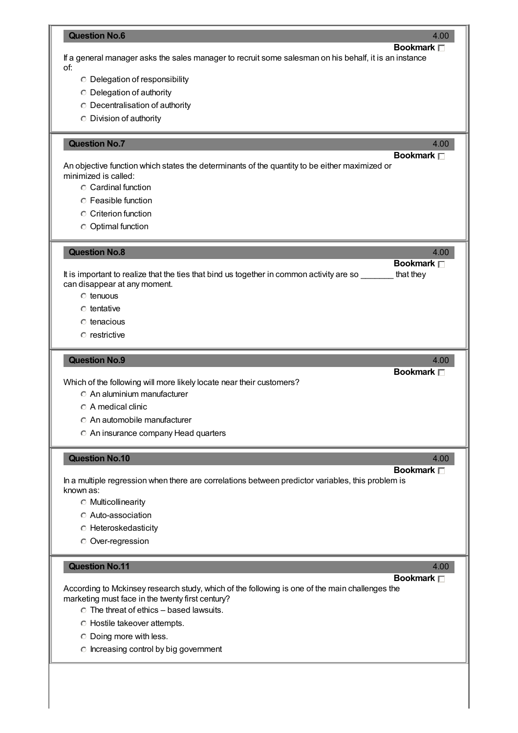| <b>Question No.6</b><br>4.00                                                                                                                       |
|----------------------------------------------------------------------------------------------------------------------------------------------------|
| <b>Bookmark</b> □<br>If a general manager asks the sales manager to recruit some salesman on his behalf, it is an instance                         |
| of:<br>$\circ$ Delegation of responsibility                                                                                                        |
| <b>C</b> Delegation of authority                                                                                                                   |
| <b>C</b> Decentralisation of authority                                                                                                             |
| <b>C</b> Division of authority                                                                                                                     |
| <b>Question No.7</b><br>4.00                                                                                                                       |
| <b>Bookmark</b> □<br>An objective function which states the determinants of the quantity to be either maximized or                                 |
| minimized is called:                                                                                                                               |
| C Cardinal function                                                                                                                                |
| <b>C</b> Feasible function<br>C Criterion function                                                                                                 |
| <b>Optimal function</b>                                                                                                                            |
|                                                                                                                                                    |
| <b>Question No.8</b><br>4.00<br>Bookmark <sub>[1]</sub>                                                                                            |
| It is important to realize that the ties that bind us together in common activity are so ______<br>that they                                       |
| can disappear at any moment.<br>$\circ$ tenuous                                                                                                    |
| $\circ$ tentative                                                                                                                                  |
| $\circ$ tenacious                                                                                                                                  |
| $\circ$ restrictive                                                                                                                                |
|                                                                                                                                                    |
| <b>Question No.9</b><br>4.00<br>Bookmark <sub>[1]</sub>                                                                                            |
| Which of the following will more likely locate near their customers?                                                                               |
| C An aluminium manufacturer                                                                                                                        |
| $\circ$ A medical clinic<br>C An automobile manufacturer                                                                                           |
| An insurance company Head quarters                                                                                                                 |
|                                                                                                                                                    |
| <b>Question No.10</b><br>4.00<br>Bookmark $\Box$                                                                                                   |
| In a multiple regression when there are correlations between predictor variables, this problem is                                                  |
| known as:<br><b>C</b> Multicollinearity                                                                                                            |
| <b>C</b> Auto-association                                                                                                                          |
| <b>C</b> Heteroskedasticity                                                                                                                        |
| <b>O</b> Over-regression                                                                                                                           |
| <b>Question No.11</b><br>4.00                                                                                                                      |
| Bookmark $\Box$                                                                                                                                    |
| According to Mckinsey research study, which of the following is one of the main challenges the<br>marketing must face in the twenty first century? |
| $\circ$ The threat of ethics - based lawsuits.                                                                                                     |
| <b>C</b> Hostile takeover attempts.                                                                                                                |
| O Doing more with less.                                                                                                                            |
|                                                                                                                                                    |
| C Increasing control by big government                                                                                                             |
|                                                                                                                                                    |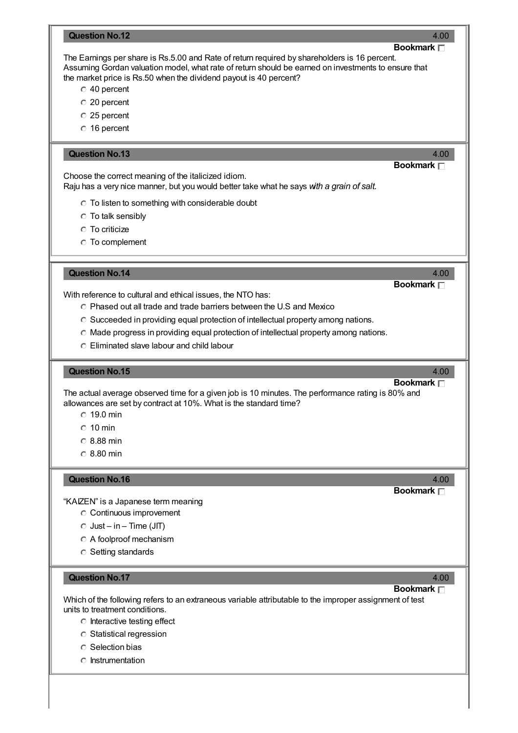| <b>Question No.12</b>                                                                                                                                                                                                                                                    | 4.00                    |
|--------------------------------------------------------------------------------------------------------------------------------------------------------------------------------------------------------------------------------------------------------------------------|-------------------------|
|                                                                                                                                                                                                                                                                          | Bookmark $\Box$         |
| The Earnings per share is Rs.5.00 and Rate of return required by shareholders is 16 percent.<br>Assuming Gordan valuation model, what rate of return should be earned on investments to ensure that<br>the market price is Rs.50 when the dividend payout is 40 percent? |                         |
| $\degree$ 40 percent                                                                                                                                                                                                                                                     |                         |
| C 20 percent                                                                                                                                                                                                                                                             |                         |
| $\degree$ 25 percent                                                                                                                                                                                                                                                     |                         |
| C 16 percent                                                                                                                                                                                                                                                             |                         |
| <b>Question No.13</b>                                                                                                                                                                                                                                                    | 4.00                    |
|                                                                                                                                                                                                                                                                          | Bookmark <sub>[1]</sub> |
| Choose the correct meaning of the italicized idiom.<br>Raju has a very nice manner, but you would better take what he says with a grain of salt.                                                                                                                         |                         |
| ○ To listen to something with considerable doubt                                                                                                                                                                                                                         |                         |
| <b>C</b> To talk sensibly                                                                                                                                                                                                                                                |                         |
| <b>C</b> To criticize                                                                                                                                                                                                                                                    |                         |
| <b>C</b> To complement                                                                                                                                                                                                                                                   |                         |
| <b>Question No.14</b>                                                                                                                                                                                                                                                    | 4.00                    |
|                                                                                                                                                                                                                                                                          | Bookmark <sub>[7]</sub> |
| With reference to cultural and ethical issues, the NTO has:                                                                                                                                                                                                              |                         |
| ○ Phased out all trade and trade barriers between the U.S and Mexico                                                                                                                                                                                                     |                         |
| C Succeeded in providing equal protection of intellectual property among nations.                                                                                                                                                                                        |                         |
| C Made progress in providing equal protection of intellectual property among nations.                                                                                                                                                                                    |                         |
| C Eliminated slave labour and child labour                                                                                                                                                                                                                               |                         |
| <b>Question No.15</b>                                                                                                                                                                                                                                                    | 4.00                    |
| The actual average observed time for a given job is 10 minutes. The performance rating is 80% and                                                                                                                                                                        | Bookmark $\Box$         |
| allowances are set by contract at 10%. What is the standard time?<br>$\circ$ 19.0 min                                                                                                                                                                                    |                         |
|                                                                                                                                                                                                                                                                          |                         |
| $\degree$ 10 min                                                                                                                                                                                                                                                         |                         |
| $\circ$ 8.88 min                                                                                                                                                                                                                                                         |                         |
| $\circ$ 8.80 min                                                                                                                                                                                                                                                         |                         |
| <b>Question No.16</b>                                                                                                                                                                                                                                                    | 4.00                    |
|                                                                                                                                                                                                                                                                          | Bookmark <sub>D</sub>   |
| "KAIZEN" is a Japanese term meaning<br><b>C</b> Continuous improvement                                                                                                                                                                                                   |                         |
|                                                                                                                                                                                                                                                                          |                         |
| $\circ$ Just – in – Time (JIT)                                                                                                                                                                                                                                           |                         |
| A foolproof mechanism                                                                                                                                                                                                                                                    |                         |
| <b>C</b> Setting standards                                                                                                                                                                                                                                               |                         |
| <b>Question No.17</b>                                                                                                                                                                                                                                                    | 4.00<br>Bookmark $\Box$ |
| Which of the following refers to an extraneous variable attributable to the improper assignment of test<br>units to treatment conditions.                                                                                                                                |                         |
| $\circ$ Interactive testing effect                                                                                                                                                                                                                                       |                         |
| <b>C</b> Statistical regression                                                                                                                                                                                                                                          |                         |
| <b>C</b> Selection bias                                                                                                                                                                                                                                                  |                         |
|                                                                                                                                                                                                                                                                          |                         |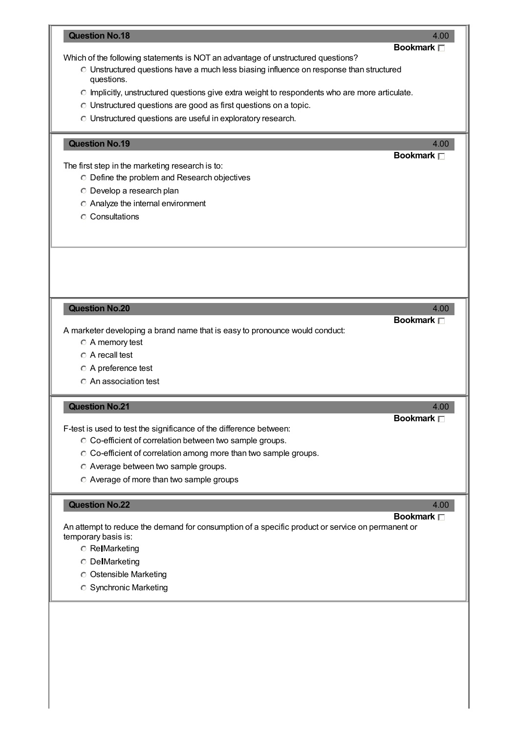# **Question No.18** 4.00 **Bookmark** Which of the following statements is NOT an advantage of unstructured questions? Unstructured questions have a much less biasing influence on response than structured questions. Implicitly, unstructured questions give extra weight to respondents who are more articulate. Unstructured questions are good as first questions on a topic. Unstructured questions are useful in exploratory research. **Question No.19** 4.00 **Bookmark** The first step in the marketing research is to: Define the problem and Research objectives Develop a research plan Analyze the internal environment Consultations **Question No.20** 4.00 **Bookmark** A marketer developing a brand name that is easy to pronounce would conduct: A memory test A recall test A preference test An association test **Calculation No.21** 4.00 **Bookmark** F-test is used to test the significance of the difference between:  $\circ$  Co-efficient of correlation between two sample groups.  $\circ$  Co-efficient of correlation among more than two sample groups.  $\circ$  Average between two sample groups. Average of more than two sample groups **Question No.22** 4.00 **Bookmark** An attempt to reduce the demand for consumption of a specific product or service on permanent or temporary basis is: **C** Re Marketing **C** DelMarketing Ostensible Marketing Synchronic Marketing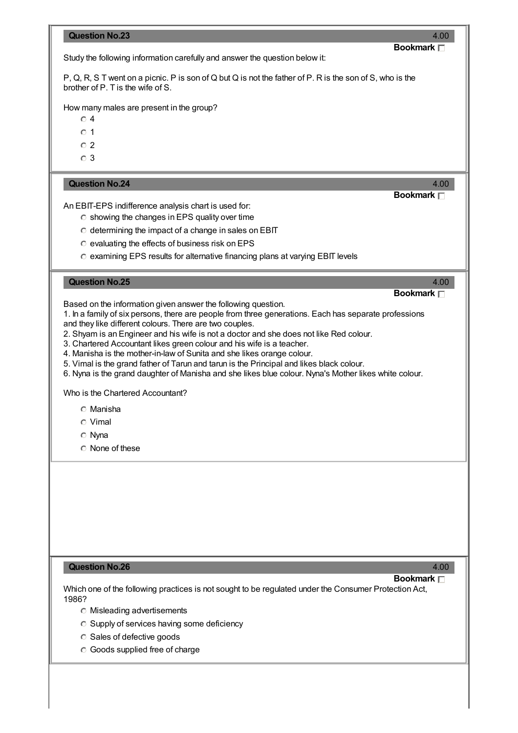| <b>Question No.23</b><br>4.00                                                                                                                                          |
|------------------------------------------------------------------------------------------------------------------------------------------------------------------------|
| Bookmark <sub>[1]</sub><br>Study the following information carefully and answer the question below it:                                                                 |
| P, Q, R, S T went on a picnic. P is son of Q but Q is not the father of P. R is the son of S, who is the<br>brother of P. T is the wife of S.                          |
| How many males are present in the group?<br>$\circ$ 4                                                                                                                  |
| $\bigcirc$ 1                                                                                                                                                           |
| $\circ$ 2                                                                                                                                                              |
| $\circ$ 3                                                                                                                                                              |
| <b>Question No.24</b><br>4.00                                                                                                                                          |
| Bookmark n<br>An EBIT-EPS indifference analysis chart is used for:                                                                                                     |
| C showing the changes in EPS quality over time                                                                                                                         |
| C determining the impact of a change in sales on EBIT                                                                                                                  |
| C evaluating the effects of business risk on EPS                                                                                                                       |
| C examining EPS results for alternative financing plans at varying EBIT levels                                                                                         |
| <b>Question No.25</b><br>4.00                                                                                                                                          |
| Bookmark $\Box$                                                                                                                                                        |
| Based on the information given answer the following question.<br>1. In a family of six persons, there are people from three generations. Each has separate professions |
| and they like different colours. There are two couples.                                                                                                                |
| 2. Shyam is an Engineer and his wife is not a doctor and she does not like Red colour.<br>3. Chartered Accountant likes green colour and his wife is a teacher.        |
| 4. Manisha is the mother-in-law of Sunita and she likes orange colour.                                                                                                 |
| 5. Vimal is the grand father of Tarun and tarun is the Principal and likes black colour.                                                                               |
| 6. Nyna is the grand daughter of Manisha and she likes blue colour. Nyna's Mother likes white colour.                                                                  |
| Who is the Chartered Accountant?                                                                                                                                       |
| ◯ Manisha                                                                                                                                                              |
| $\circ$ Vimal                                                                                                                                                          |
| <b>O</b> Nyna                                                                                                                                                          |
| $\circ$ None of these                                                                                                                                                  |
|                                                                                                                                                                        |
|                                                                                                                                                                        |
|                                                                                                                                                                        |
|                                                                                                                                                                        |
|                                                                                                                                                                        |
| <b>Question No.26</b><br>4.00                                                                                                                                          |
| Bookmark $\Box$<br>Which one of the following practices is not sought to be regulated under the Consumer Protection Act,                                               |
| 1986?                                                                                                                                                                  |
| <b>C</b> Misleading advertisements                                                                                                                                     |
| C Supply of services having some deficiency<br>C Sales of defective goods                                                                                              |
| <b>C</b> Goods supplied free of charge                                                                                                                                 |
|                                                                                                                                                                        |
|                                                                                                                                                                        |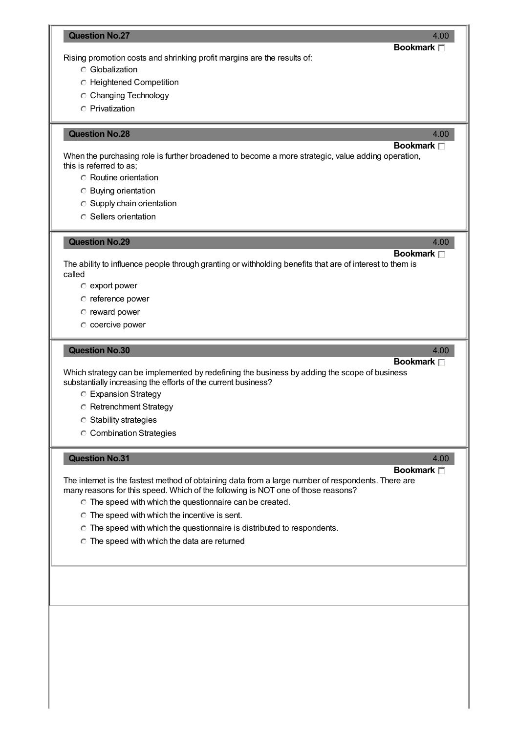## **Question No.27** 4.00 **Bookmark** Rising promotion costs and shrinking profit margins are the results of: Globalization Heightened Competition C Changing Technology Privatization **Question No.28** 4.00 **Bookmark** When the purchasing role is further broadened to become a more strategic, value adding operation, this is referred to as; Routine orientation Buying orientation Supply chain orientation **C** Sellers orientation **Question No.29** 4.00 **Bookmark** The ability to influence people through granting or withholding benefits that are of interest to them is called  $\circ$  export power reference power reward power C coercive power **Question No.30** 4.00 **Bookmark** Which strategy can be implemented by redefining the business by adding the scope of business substantially increasing the efforts of the current business? Expansion Strategy **C** Retrenchment Strategy Stability strategies Combination Strategies **Question No.31** 4.00 **Bookmark**

The internet is the fastest method of obtaining data from a large number of respondents. There are many reasons for this speed. Which of the following is NOT one of those reasons?

- The speed with which the questionnaire can be created.
- $\circ$  The speed with which the incentive is sent.
- $\degree$  The speed with which the questionnaire is distributed to respondents.
- $\degree$  The speed with which the data are returned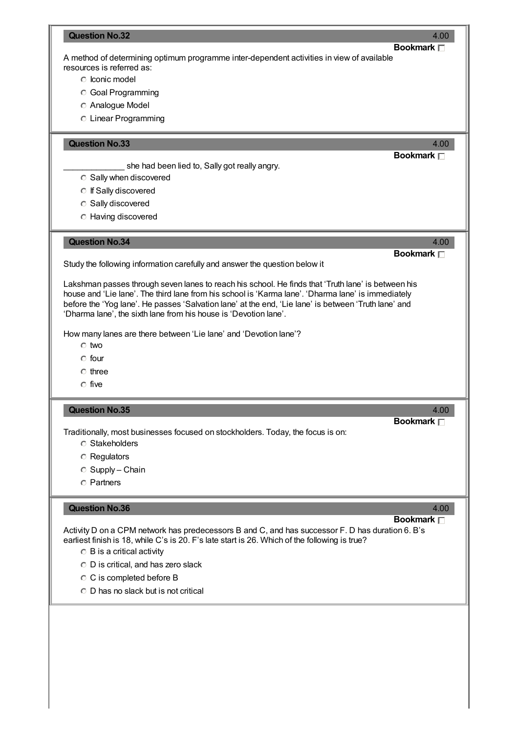| <b>Question No.32</b>                                                                                                                                                                                                                                                                                                                                                                | 4.00                      |
|--------------------------------------------------------------------------------------------------------------------------------------------------------------------------------------------------------------------------------------------------------------------------------------------------------------------------------------------------------------------------------------|---------------------------|
| A method of determining optimum programme inter-dependent activities in view of available<br>resources is referred as:<br>C Iconic model                                                                                                                                                                                                                                             | <b>Bookmark</b> □         |
| <b>C</b> Goal Programming<br><b>C</b> Analogue Model<br>C Linear Programming                                                                                                                                                                                                                                                                                                         |                           |
| <b>Question No.33</b>                                                                                                                                                                                                                                                                                                                                                                | 4.00<br><b>Bookmark</b> □ |
| she had been lied to, Sally got really angry.<br><b>C</b> Sally when discovered<br>◯ If Sally discovered<br><b>C</b> Sally discovered<br><b>C</b> Having discovered                                                                                                                                                                                                                  |                           |
| <b>Question No.34</b>                                                                                                                                                                                                                                                                                                                                                                | 4.00<br>Bookmark $\Box$   |
| Study the following information carefully and answer the question below it                                                                                                                                                                                                                                                                                                           |                           |
| Lakshman passes through seven lanes to reach his school. He finds that 'Truth lane' is between his<br>house and 'Lie lane'. The third lane from his school is 'Karma lane'. 'Dharma lane' is immediately<br>before the 'Yog lane'. He passes 'Salvation lane' at the end, 'Lie lane' is between 'Truth lane' and<br>'Dharma lane', the sixth lane from his house is 'Devotion lane'. |                           |
| How many lanes are there between 'Lie lane' and 'Devotion lane'?<br>$\circ$ two                                                                                                                                                                                                                                                                                                      |                           |
| $\circ$ four<br>$\circ$ three                                                                                                                                                                                                                                                                                                                                                        |                           |
| $\cap$ five                                                                                                                                                                                                                                                                                                                                                                          |                           |
| <b>Question No.35</b>                                                                                                                                                                                                                                                                                                                                                                | 4.00                      |
| Traditionally, most businesses focused on stockholders. Today, the focus is on:<br><b>C</b> Stakeholders                                                                                                                                                                                                                                                                             | Bookmark <sub>[</sub>     |
| <b>C</b> Regulators                                                                                                                                                                                                                                                                                                                                                                  |                           |
| ◯ Supply - Chain                                                                                                                                                                                                                                                                                                                                                                     |                           |
| <b>C</b> Partners                                                                                                                                                                                                                                                                                                                                                                    |                           |
| <b>Question No.36</b><br>Activity D on a CPM network has predecessors B and C, and has successor F. D has duration 6. B's<br>earliest finish is 18, while C's is 20. F's late start is 26. Which of the following is true?<br>$\circ$ B is a critical activity<br>$\circ$ D is critical, and has zero slack                                                                          | 4.00<br>Bookmark $\Box$   |
| C C is completed before B                                                                                                                                                                                                                                                                                                                                                            |                           |
| $\circ$ D has no slack but is not critical                                                                                                                                                                                                                                                                                                                                           |                           |
|                                                                                                                                                                                                                                                                                                                                                                                      |                           |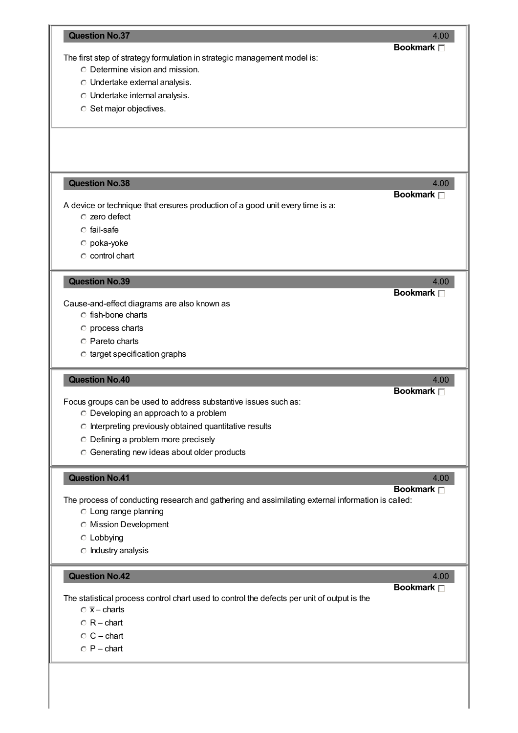|                                                                                                                | 4.00<br>Bookmark <sub>[1]</sub> |
|----------------------------------------------------------------------------------------------------------------|---------------------------------|
| The first step of strategy formulation in strategic management model is:                                       |                                 |
| <b>C</b> Determine vision and mission.                                                                         |                                 |
| O Undertake external analysis.                                                                                 |                                 |
| O Undertake internal analysis.                                                                                 |                                 |
| <b>C</b> Set major objectives.                                                                                 |                                 |
|                                                                                                                |                                 |
| <b>Question No.38</b>                                                                                          | 4.00<br><b>Bookmark</b> □       |
| A device or technique that ensures production of a good unit every time is a:                                  |                                 |
| c zero defect                                                                                                  |                                 |
| $\circ$ fail-safe                                                                                              |                                 |
| o poka-yoke                                                                                                    |                                 |
| $\circ$ control chart                                                                                          |                                 |
| <b>Question No.39</b>                                                                                          | 4.00                            |
|                                                                                                                | <b>Bookmark</b> □               |
| Cause-and-effect diagrams are also known as<br>C fish-bone charts                                              |                                 |
|                                                                                                                |                                 |
| <b>O</b> process charts                                                                                        |                                 |
| <b>C</b> Pareto charts                                                                                         |                                 |
| C target specification graphs                                                                                  |                                 |
|                                                                                                                |                                 |
| <b>Question No.40</b>                                                                                          | 4.00                            |
|                                                                                                                | Bookmark <sub>[1]</sub>         |
| Focus groups can be used to address substantive issues such as:<br>$\circ$ Developing an approach to a problem |                                 |
|                                                                                                                |                                 |
| C Interpreting previously obtained quantitative results                                                        |                                 |
| O Defining a problem more precisely<br>C Generating new ideas about older products                             |                                 |
| <b>Question No.41</b>                                                                                          | 4.00                            |
|                                                                                                                | Bookmark <sub>[1]</sub>         |
| The process of conducting research and gathering and assimilating external information is called:              |                                 |
| C Long range planning                                                                                          |                                 |
| <b>C</b> Mission Development                                                                                   |                                 |
| $\circ$ Lobbying                                                                                               |                                 |
| $\circ$ Industry analysis                                                                                      |                                 |
| <b>Question No.42</b>                                                                                          | 4.00                            |
|                                                                                                                | Bookmark <sub>[1]</sub>         |
| The statistical process control chart used to control the defects per unit of output is the                    |                                 |
| $\overline{X}$ - charts                                                                                        |                                 |
| $\circ$ R – chart                                                                                              |                                 |
| $\circ$ C – chart<br>$\circ$ P – chart                                                                         |                                 |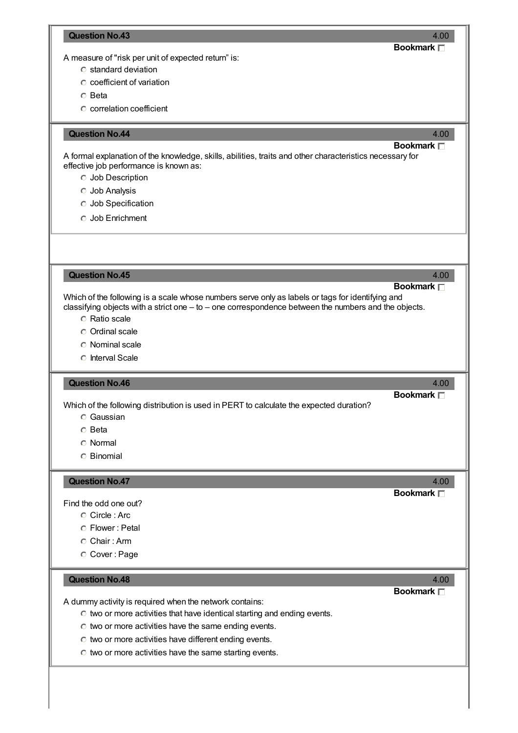#### **Question No.43** 4.00

### **Bookmark**

A measure of "risk per unit of expected return" is:

- $\circ$  standard deviation
- $\circ$  coefficient of variation

 $\circ$  Beta

correlation coefficient

#### **Constitution No.44 4.00 4.00 4.00 4.00 4.00 4.00 4.00 4.00 4.00**

#### **Bookmark**

A formal explanation of the knowledge, skills, abilities, traits and other characteristics necessary for effective job performance is known as:

- Job Description
- Job Analysis
- Job Specification
- Job Enrichment

**Question No.45** 4.00

# **Bookmark**

**Bookmark**

**Bookmark**

Which of the following is a scale whose numbers serve only as labels or tags for identifying and classifying objects with a strict one – to – one correspondence between the numbers and the objects.

- Ratio scale
- Ordinal scale
- Nominal scale
- **C** Interval Scale

#### **Question No.46** 4.00

Which of the following distribution is used in PERT to calculate the expected duration?

- Gaussian
- Beta
- Normal
- Binomial

#### **Question No.47** 4.00

Find the odd one out?

- Circle : Arc
- Flower : Petal
- Chair : Arm
- Cover : Page

#### **Question No.48** 4.00

**Bookmark**

A dummy activity is required when the network contains:

- $\circ$  two or more activities that have identical starting and ending events.
- $\circ$  two or more activities have the same ending events.
- $\circ$  two or more activities have different ending events.
- $\circ$  two or more activities have the same starting events.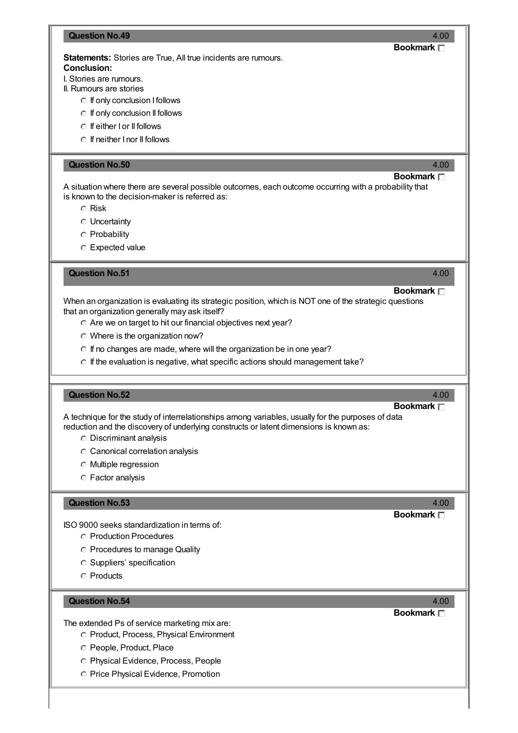| <b>Question No.49</b><br>4.00                                                                                                                                                               |
|---------------------------------------------------------------------------------------------------------------------------------------------------------------------------------------------|
| Bookmark <sub>[1]</sub>                                                                                                                                                                     |
| <b>Statements:</b> Stories are True, All true incidents are rumours.                                                                                                                        |
| <b>Conclusion:</b><br>I. Stories are rumours.                                                                                                                                               |
| II. Rumours are stories                                                                                                                                                                     |
| <b>C</b> If only conclusion I follows                                                                                                                                                       |
| <b>C</b> If only conclusion II follows                                                                                                                                                      |
| ○ If either I or II follows                                                                                                                                                                 |
| $\circ$ If neither I nor II follows                                                                                                                                                         |
|                                                                                                                                                                                             |
| <b>Question No.50</b><br>4.00                                                                                                                                                               |
| Bookmark $\Box$                                                                                                                                                                             |
| A situation where there are several possible outcomes, each outcome occurring with a probability that                                                                                       |
| is known to the decision-maker is referred as:                                                                                                                                              |
| <b>C</b> Risk                                                                                                                                                                               |
| <b>C</b> Uncertainty                                                                                                                                                                        |
| <b>C</b> Probability                                                                                                                                                                        |
| C Expected value                                                                                                                                                                            |
|                                                                                                                                                                                             |
| <b>Question No.51</b><br>4.00                                                                                                                                                               |
|                                                                                                                                                                                             |
| <b>Bookmark</b> □                                                                                                                                                                           |
| When an organization is evaluating its strategic position, which is NOT one of the strategic questions<br>that an organization generally may ask itself?                                    |
| O Are we on target to hit our financial objectives next year?                                                                                                                               |
|                                                                                                                                                                                             |
| $\circ$ Where is the organization now?                                                                                                                                                      |
| ○ If no changes are made, where will the organization be in one year?                                                                                                                       |
| O If the evaluation is negative, what specific actions should management take?                                                                                                              |
|                                                                                                                                                                                             |
| <b>Question No.52</b><br>4.00                                                                                                                                                               |
| Bookmark $\Box$                                                                                                                                                                             |
| A technique for the study of interrelationships among variables, usually for the purposes of data<br>reduction and the discovery of underlying constructs or latent dimensions is known as: |
| <b>C</b> Discriminant analysis                                                                                                                                                              |
|                                                                                                                                                                                             |
| C Canonical correlation analysis                                                                                                                                                            |
| <b>O</b> Multiple regression                                                                                                                                                                |
| <b>C</b> Factor analysis                                                                                                                                                                    |
| <b>Question No.53</b><br>4.00                                                                                                                                                               |
|                                                                                                                                                                                             |
|                                                                                                                                                                                             |
| Bookmark <b>D</b><br>ISO 9000 seeks standardization in terms of:                                                                                                                            |
| <b>C</b> Production Procedures                                                                                                                                                              |
|                                                                                                                                                                                             |
| <b>C</b> Procedures to manage Quality<br><b>C</b> Suppliers' specification                                                                                                                  |

## **Question No.54** 4.00

The extended Ps of service marketing mix are:

- Product, Process, Physical Environment
- C People, Product, Place
- Physical Evidence, Process, People
- **C** Price Physical Evidence, Promotion

**Bookmark**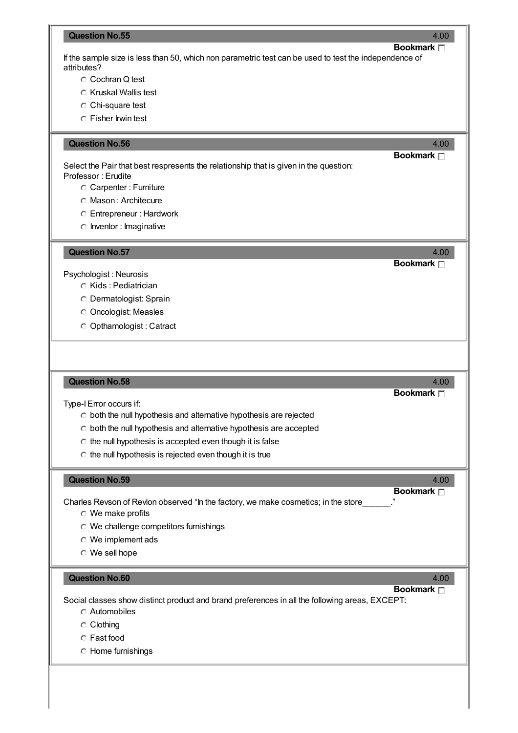#### **Question No.55** 4.00

**Bookmark** If the sample size is less than 50, which non parametric test can be used to test the independence of attributes?

- C Cochran Q test
- $\circ$  Kruskal Wallis test
- C Chi-square test
- Fisher Irwin test

#### **Question No.56** 4.00

**Bookmark**

**Bookmark**

Select the Pair that best respresents the relationship that is given in the question: Professor : Erudite

- Carpenter : Furniture
- Mason : Architecure
- Entrepreneur : Hardwork
- $\circ$  Inventor : Imaginative

**Question No.57** 4.00

Psychologist : Neurosis

- C Kids: Pediatrician
- Dermatologist: Sprain
- Oncologist: Measles
- Opthamologist : Catract

#### **Question No.58** 4.00

Type-IError occurs if:

- $\circ$  both the null hypothesis and alternative hypothesis are rejected
- $\circ$  both the null hypothesis and alternative hypothesis are accepted
- $\circ$  the null hypothesis is accepted even though it is false
- $\circ$  the null hypothesis is rejected even though it is true

#### **Question No.59** 4.00

**Bookmark**

**Bookmark**

Charles Revson of Revlon observed "In the factory, we make cosmetics; in the store

- We make profits
- We challenge competitors furnishings
- We implement ads
- We sell hope

#### **Question No.60** 4.00

**Bookmark**

Social classes show distinct product and brand preferences in all the following areas, EXCEPT:

- Automobiles
- Clothing
- Fast food
- Home furnishings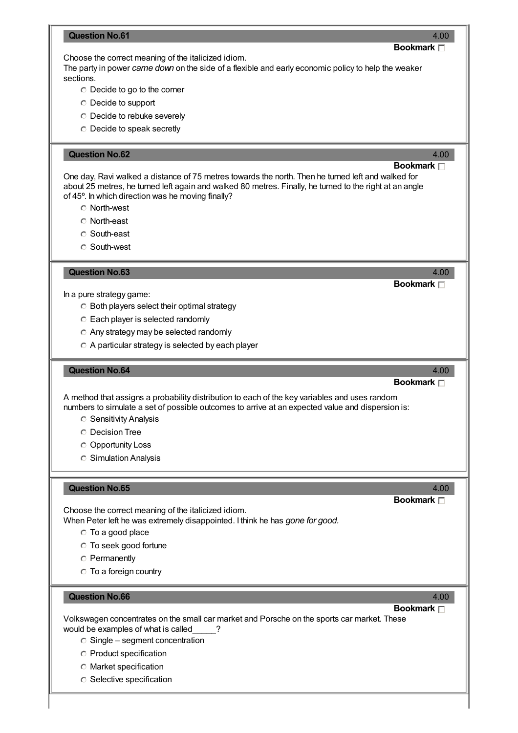#### **Question No.61** 4.00

#### Choose the correct meaning of the italicized idiom.

The party in power *came down* on the side of a flexible and early economic policy to help the weaker sections.

- Decide to go to the corner
- Decide to support
- Decide to rebuke severely
- Decide to speak secretly

#### **CONSERVERSITY AND CONSERVERSITY AND CONSERVERSITY AND ALCOHOLY AND ALCOHOLY AND ALCOHOLY AND ALCOHOLY AND ALCOHOLY AND ALCOHOLY AND ALCOHOLY AND ALCOHOLY AND ALCOHOLY AND ALCOHOLY AND ALCOHOLY AND ALCOHOLY AND ALCOHOLY AN**

## **Bookmark**

One day, Ravi walked a distance of 75 metres towards the north. Then he turned left and walked for about 25 metres, he turned left again and walked 80 metres. Finally, he turned to the right at an angle of 45º. In which direction was he moving finally?

- North-west
- North-east
- South-east
- South-west

#### **Question No.63** 4.00

#### In a pure strategy game:

- $\circ$  Both players select their optimal strategy
- Each player is selected randomly
- Any strategy may be selected randomly
- A particular strategy is selected by each player

#### **Question No.64** 4.00

### **Bookmark**

**Bookmark**

A method that assigns a probability distribution to each of the key variables and uses random numbers to simulate a set of possible outcomes to arrive at an expected value and dispersion is:

- **C** Sensitivity Analysis
- Decision Tree
- Opportunity Loss
- Simulation Analysis

#### **Question No.65** 4.00

#### **Bookmark**

Choose the correct meaning of the italicized idiom. When Peter left he was extremely disappointed. I think he has *gone for good.*

To a good place

- To seek good fortune
- **C** Permanently
- To a foreign country

#### **Question No.66** 4.00

## **Bookmark**

Volkswagen concentrates on the small car market and Porsche on the sports car market. These would be examples of what is called\_\_\_\_\_?

- $\circ$  Single segment concentration
- Product specification
- Market specification
- **C** Selective specification

### **Bookmark**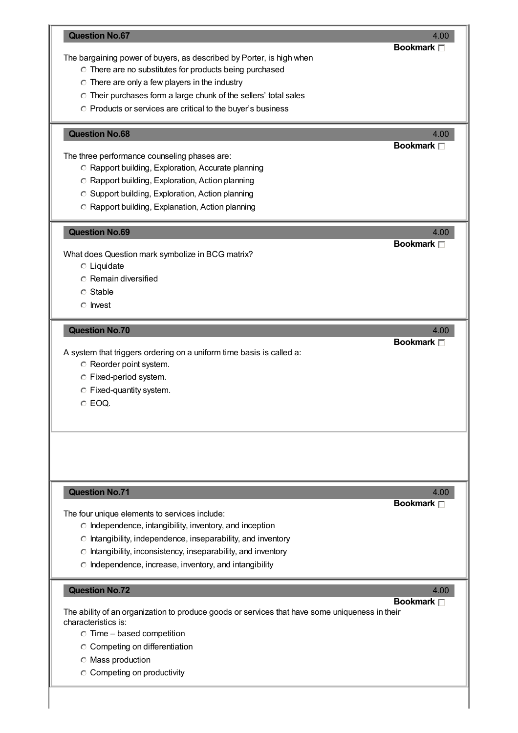| <b>Question No.67</b><br>The bargaining power of buyers, as described by Porter, is high when<br>O There are no substitutes for products being purchased<br>$\circ$ There are only a few players in the industry<br>O Their purchases form a large chunk of the sellers' total sales<br>O Products or services are critical to the buyer's business  | 4.00<br>Bookmark <sub>[1]</sub> |
|------------------------------------------------------------------------------------------------------------------------------------------------------------------------------------------------------------------------------------------------------------------------------------------------------------------------------------------------------|---------------------------------|
| <b>Question No.68</b><br>The three performance counseling phases are:<br>C Rapport building, Exploration, Accurate planning<br>C Rapport building, Exploration, Action planning<br>C Support building, Exploration, Action planning<br>C Rapport building, Explanation, Action planning                                                              | 4.00<br>Bookmark <sub>[1]</sub> |
| <b>Question No.69</b><br>What does Question mark symbolize in BCG matrix?<br>$\circ$ Liquidate<br><b>C</b> Remain diversified<br>C Stable<br>$\circ$ Invest                                                                                                                                                                                          | 4.00<br><b>Bookmark</b> □       |
| <b>Question No.70</b><br>A system that triggers ordering on a uniform time basis is called a:<br>C Reorder point system.<br>C Fixed-period system.<br>C Fixed-quantity system.<br>C EOQ.                                                                                                                                                             | 4.00<br>Bookmark <sub>[1]</sub> |
| <b>Question No.71</b><br>The four unique elements to services include:<br>$\circ$ Independence, intangibility, inventory, and inception<br>$\circ$ Intangibility, independence, inseparability, and inventory<br>$\circ$ Intangibility, inconsistency, inseparability, and inventory<br>$\circ$ Independence, increase, inventory, and intangibility | 4.00<br><b>Bookmark</b> □       |
| <b>Question No.72</b><br>The ability of an organization to produce goods or services that have some uniqueness in their<br>characteristics is:                                                                                                                                                                                                       | 4.00<br>Bookmark $\Box$         |

 $\circ$  Time – based competition

Competing on differentiation

 $\circ$  Mass production

C Competing on productivity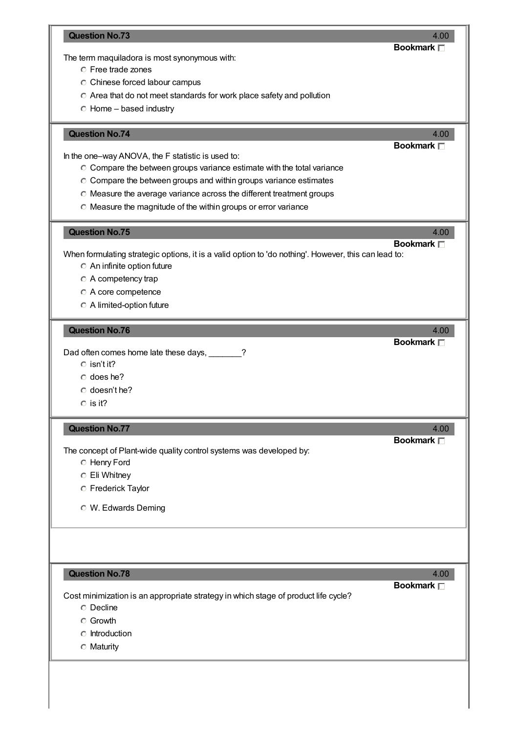| <b>Question No.73</b>                                                                                  | 4.00<br><b>Bookmark</b> □       |
|--------------------------------------------------------------------------------------------------------|---------------------------------|
| The term maquiladora is most synonymous with:                                                          |                                 |
| C Free trade zones                                                                                     |                                 |
| C Chinese forced labour campus                                                                         |                                 |
| C Area that do not meet standards for work place safety and pollution                                  |                                 |
| $\circ$ Home – based industry                                                                          |                                 |
|                                                                                                        |                                 |
| <b>Question No.74</b>                                                                                  | 4.00<br>Bookmark <sub>[1]</sub> |
| In the one-way ANOVA, the F statistic is used to:                                                      |                                 |
| C Compare the between groups variance estimate with the total variance                                 |                                 |
| C Compare the between groups and within groups variance estimates                                      |                                 |
|                                                                                                        |                                 |
| O Measure the average variance across the different treatment groups                                   |                                 |
| O Measure the magnitude of the within groups or error variance                                         |                                 |
| <b>Question No.75</b>                                                                                  | 4.00                            |
|                                                                                                        | Bookmark <sub>[1]</sub>         |
| When formulating strategic options, it is a valid option to 'do nothing'. However, this can lead to:   |                                 |
| An infinite option future                                                                              |                                 |
| $\circ$ A competency trap                                                                              |                                 |
| A core competence                                                                                      |                                 |
| A limited-option future                                                                                |                                 |
|                                                                                                        |                                 |
| <b>Question No.76</b>                                                                                  | 4.00<br><b>Bookmark</b> □       |
| Dad often comes home late these days, ______?                                                          |                                 |
| $\circ$ isn't it?                                                                                      |                                 |
| $\circ$ does he?                                                                                       |                                 |
| $\circ$ doesn't he?                                                                                    |                                 |
| $\circ$ is it?                                                                                         |                                 |
|                                                                                                        |                                 |
| <b>Question No.77</b>                                                                                  | 4.00                            |
|                                                                                                        | Bookmark <sub>[1]</sub>         |
| The concept of Plant-wide quality control systems was developed by:                                    |                                 |
| <b>C</b> Henry Ford                                                                                    |                                 |
| C Eli Whitney                                                                                          |                                 |
| <b>C</b> Frederick Taylor                                                                              |                                 |
| <b>O</b> W. Edwards Deming                                                                             |                                 |
|                                                                                                        |                                 |
|                                                                                                        |                                 |
|                                                                                                        |                                 |
| <b>Question No.78</b>                                                                                  | 4.00<br>Bookmark <sub>[1]</sub> |
|                                                                                                        |                                 |
|                                                                                                        |                                 |
| <b>O</b> Decline                                                                                       |                                 |
| <b>C</b> Growth                                                                                        |                                 |
| $\circ$ Introduction                                                                                   |                                 |
| Cost minimization is an appropriate strategy in which stage of product life cycle?<br>$\circ$ Maturity |                                 |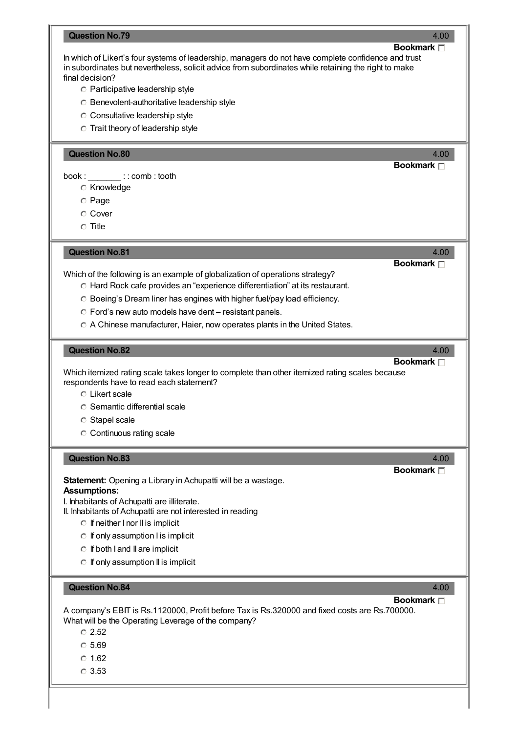|                                                                                                                                                                                                                               | 4.00                          |
|-------------------------------------------------------------------------------------------------------------------------------------------------------------------------------------------------------------------------------|-------------------------------|
|                                                                                                                                                                                                                               | Bookmark $\Box$               |
| In which of Likert's four systems of leadership, managers do not have complete confidence and trust                                                                                                                           |                               |
| in subordinates but nevertheless, solicit advice from subordinates while retaining the right to make<br>final decision?                                                                                                       |                               |
|                                                                                                                                                                                                                               |                               |
| <b>C</b> Participative leadership style                                                                                                                                                                                       |                               |
| <b>C</b> Benevolent-authoritative leadership style                                                                                                                                                                            |                               |
| C Consultative leadership style                                                                                                                                                                                               |                               |
| <b>C</b> Trait theory of leadership style                                                                                                                                                                                     |                               |
| <b>Question No.80</b>                                                                                                                                                                                                         | 4.00                          |
|                                                                                                                                                                                                                               | Bookmark <sub>[1]</sub>       |
|                                                                                                                                                                                                                               |                               |
| C Knowledge                                                                                                                                                                                                                   |                               |
| C Page                                                                                                                                                                                                                        |                               |
| <b>C</b> Cover                                                                                                                                                                                                                |                               |
| $\circ$ Title                                                                                                                                                                                                                 |                               |
|                                                                                                                                                                                                                               |                               |
| <b>Question No.81</b>                                                                                                                                                                                                         | 4.00                          |
|                                                                                                                                                                                                                               | Bookmark <sub>[1]</sub>       |
| Which of the following is an example of globalization of operations strategy?                                                                                                                                                 |                               |
| O Hard Rock cafe provides an "experience differentiation" at its restaurant.                                                                                                                                                  |                               |
| O Boeing's Dream liner has engines with higher fuel/pay load efficiency.                                                                                                                                                      |                               |
| C Ford's new auto models have dent - resistant panels.                                                                                                                                                                        |                               |
| O A Chinese manufacturer, Haier, now operates plants in the United States.                                                                                                                                                    |                               |
|                                                                                                                                                                                                                               |                               |
| <b>Question No.82</b>                                                                                                                                                                                                         | 4.00                          |
| Which itemized rating scale takes longer to complete than other itemized rating scales because<br>respondents have to read each statement?<br>C Likert scale<br><b>C</b> Semantic differential scale<br><b>C</b> Stapel scale | Bookmark <sub>[1]</sub>       |
| C Continuous rating scale                                                                                                                                                                                                     |                               |
|                                                                                                                                                                                                                               |                               |
|                                                                                                                                                                                                                               |                               |
| <b>Question No.83</b>                                                                                                                                                                                                         | 4.00<br>Bookmark <sub>D</sub> |
| <b>Statement:</b> Opening a Library in Achupatti will be a wastage.                                                                                                                                                           |                               |
| <b>Assumptions:</b>                                                                                                                                                                                                           |                               |
| I. Inhabitants of Achupatti are illiterate.                                                                                                                                                                                   |                               |
| II. Inhabitants of Achupatti are not interested in reading                                                                                                                                                                    |                               |
| $\circ$ If neither I nor II is implicit                                                                                                                                                                                       |                               |
| $\circ$ If only assumption I is implicit                                                                                                                                                                                      |                               |
| $\circ$ If both I and II are implicit                                                                                                                                                                                         |                               |
| $\circ$ If only assumption II is implicit                                                                                                                                                                                     |                               |
|                                                                                                                                                                                                                               |                               |
| <b>Question No.84</b>                                                                                                                                                                                                         | 4.00                          |
| A company's EBIT is Rs.1120000, Profit before Tax is Rs.320000 and fixed costs are Rs.700000.<br>What will be the Operating Leverage of the company?<br>$\circ$ 2.52<br>$\circ$ 5.69                                          | <b>Bookmark</b> □             |
| $\circ$ 1.62                                                                                                                                                                                                                  |                               |
| $\circ$ 3.53                                                                                                                                                                                                                  |                               |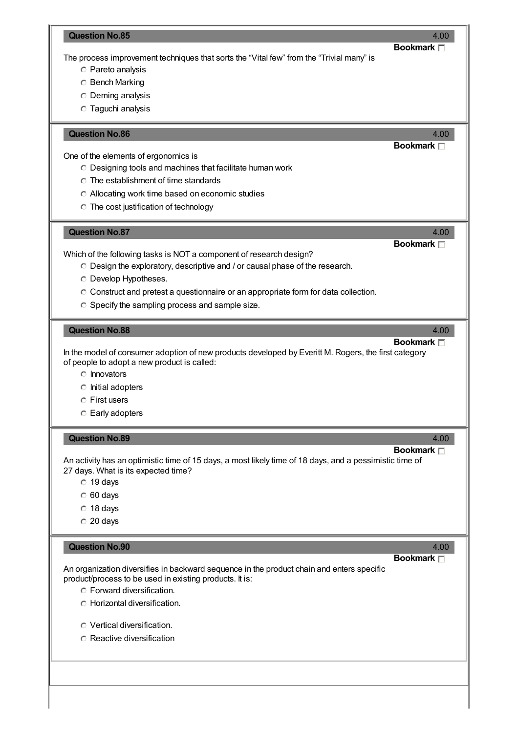|                                                                                                                                                                                                                                                                                                       | <b>Bookmark</b> □               |
|-------------------------------------------------------------------------------------------------------------------------------------------------------------------------------------------------------------------------------------------------------------------------------------------------------|---------------------------------|
| The process improvement techniques that sorts the "Vital few" from the "Trivial many" is                                                                                                                                                                                                              |                                 |
| <b>C</b> Pareto analysis                                                                                                                                                                                                                                                                              |                                 |
| <b>C</b> Bench Marking                                                                                                                                                                                                                                                                                |                                 |
| <b>C</b> Deming analysis                                                                                                                                                                                                                                                                              |                                 |
| <b>Taguchi analysis</b>                                                                                                                                                                                                                                                                               |                                 |
|                                                                                                                                                                                                                                                                                                       |                                 |
| <b>Question No.86</b>                                                                                                                                                                                                                                                                                 | 4.00<br>Bookmark <sub>[1]</sub> |
| One of the elements of ergonomics is                                                                                                                                                                                                                                                                  |                                 |
| O Designing tools and machines that facilitate human work                                                                                                                                                                                                                                             |                                 |
| $\circ$ The establishment of time standards                                                                                                                                                                                                                                                           |                                 |
| Allocating work time based on economic studies                                                                                                                                                                                                                                                        |                                 |
| <b>C</b> The cost justification of technology                                                                                                                                                                                                                                                         |                                 |
|                                                                                                                                                                                                                                                                                                       |                                 |
| <b>Question No.87</b>                                                                                                                                                                                                                                                                                 | 4.00                            |
|                                                                                                                                                                                                                                                                                                       | Bookmark $\Box$                 |
| Which of the following tasks is NOT a component of research design?                                                                                                                                                                                                                                   |                                 |
| O Design the exploratory, descriptive and / or causal phase of the research.                                                                                                                                                                                                                          |                                 |
| O Develop Hypotheses.                                                                                                                                                                                                                                                                                 |                                 |
| C Construct and pretest a questionnaire or an appropriate form for data collection.                                                                                                                                                                                                                   |                                 |
| C Specify the sampling process and sample size.                                                                                                                                                                                                                                                       |                                 |
|                                                                                                                                                                                                                                                                                                       |                                 |
| <b>Question No.88</b>                                                                                                                                                                                                                                                                                 | 4.00                            |
|                                                                                                                                                                                                                                                                                                       | Bookmark $\Box$                 |
|                                                                                                                                                                                                                                                                                                       |                                 |
| $\circ$ Innovators                                                                                                                                                                                                                                                                                    |                                 |
| c Initial adopters                                                                                                                                                                                                                                                                                    |                                 |
| $\bigcirc$ First users                                                                                                                                                                                                                                                                                |                                 |
| C Early adopters                                                                                                                                                                                                                                                                                      |                                 |
|                                                                                                                                                                                                                                                                                                       |                                 |
| <b>Question No.89</b>                                                                                                                                                                                                                                                                                 | 4.00<br>Bookmark $\Box$         |
|                                                                                                                                                                                                                                                                                                       |                                 |
|                                                                                                                                                                                                                                                                                                       |                                 |
| $\circ$ 19 days                                                                                                                                                                                                                                                                                       |                                 |
| $\degree$ 60 days                                                                                                                                                                                                                                                                                     |                                 |
| $\degree$ 18 days                                                                                                                                                                                                                                                                                     |                                 |
| $\degree$ 20 days                                                                                                                                                                                                                                                                                     |                                 |
| <b>Question No.90</b>                                                                                                                                                                                                                                                                                 | 4.00                            |
| In the model of consumer adoption of new products developed by Everitt M. Rogers, the first category<br>of people to adopt a new product is called:<br>An activity has an optimistic time of 15 days, a most likely time of 18 days, and a pessimistic time of<br>27 days. What is its expected time? | Bookmark $\Box$                 |
|                                                                                                                                                                                                                                                                                                       |                                 |
|                                                                                                                                                                                                                                                                                                       |                                 |
| C Forward diversification.                                                                                                                                                                                                                                                                            |                                 |
| <b>C</b> Horizontal diversification.                                                                                                                                                                                                                                                                  |                                 |
| An organization diversifies in backward sequence in the product chain and enters specific<br>product/process to be used in existing products. It is:<br>O Vertical diversification.                                                                                                                   |                                 |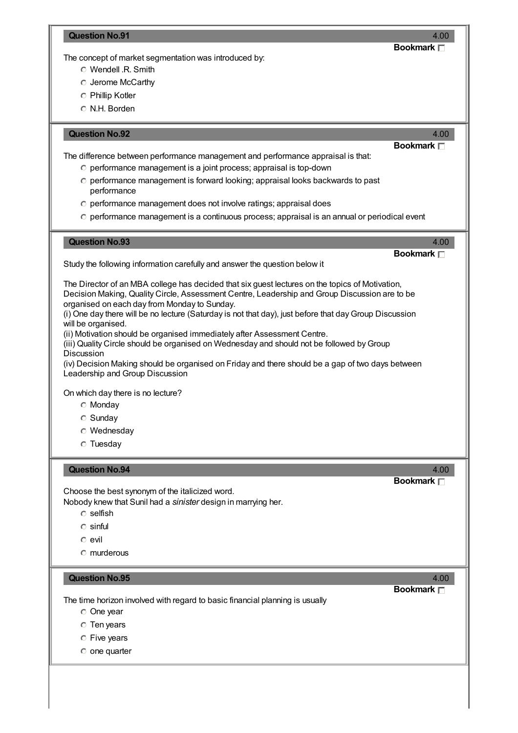## **Question No.91** 4.00

**Bookmark**

The concept of market segmentation was introduced by:

- Wendell .R. Smith
- Jerome McCarthy
- Phillip Kotler
- N.H. Borden

| <b>Question No.92</b><br>4.00<br><b>Bookmark</b> □<br>The difference between performance management and performance appraisal is that:<br>O performance management is a joint process; appraisal is top-down<br>O performance management is forward looking; appraisal looks backwards to past<br>performance<br>O performance management does not involve ratings; appraisal does<br>O performance management is a continuous process; appraisal is an annual or periodical event                                                                                                                                                                                                                                                                                                                                                                                                                                                                                  |  |
|---------------------------------------------------------------------------------------------------------------------------------------------------------------------------------------------------------------------------------------------------------------------------------------------------------------------------------------------------------------------------------------------------------------------------------------------------------------------------------------------------------------------------------------------------------------------------------------------------------------------------------------------------------------------------------------------------------------------------------------------------------------------------------------------------------------------------------------------------------------------------------------------------------------------------------------------------------------------|--|
| <b>Question No.93</b><br>4.00<br>Bookmark $\Box$<br>Study the following information carefully and answer the question below it<br>The Director of an MBA college has decided that six guest lectures on the topics of Motivation,<br>Decision Making, Quality Circle, Assessment Centre, Leadership and Group Discussion are to be<br>organised on each day from Monday to Sunday.<br>(i) One day there will be no lecture (Saturday is not that day), just before that day Group Discussion<br>will be organised.<br>(ii) Motivation should be organised immediately after Assessment Centre.<br>(iii) Quality Circle should be organised on Wednesday and should not be followed by Group<br>Discussion<br>(iv) Decision Making should be organised on Friday and there should be a gap of two days between<br>Leadership and Group Discussion<br>On which day there is no lecture?<br><b>C</b> Monday<br>$\circ$ Sunday<br><b>O</b> Wednesday<br>$\circ$ Tuesday |  |
| <b>Question No.94</b><br>4.00<br>Bookmark $\Box$<br>Choose the best synonym of the italicized word.<br>Nobody knew that Sunil had a sinister design in marrying her.<br>$\circ$ selfish<br>$\circ$ sinful<br>$\circ$ evil<br>$\circ$ murderous<br><b>Question No.95</b><br>4.00<br><b>Bookmark</b> □                                                                                                                                                                                                                                                                                                                                                                                                                                                                                                                                                                                                                                                                |  |
| The time horizon involved with regard to basic financial planning is usually<br><b>One</b> year<br><b>C</b> Ten years<br>C Five years<br>$\circ$ one quarter                                                                                                                                                                                                                                                                                                                                                                                                                                                                                                                                                                                                                                                                                                                                                                                                        |  |